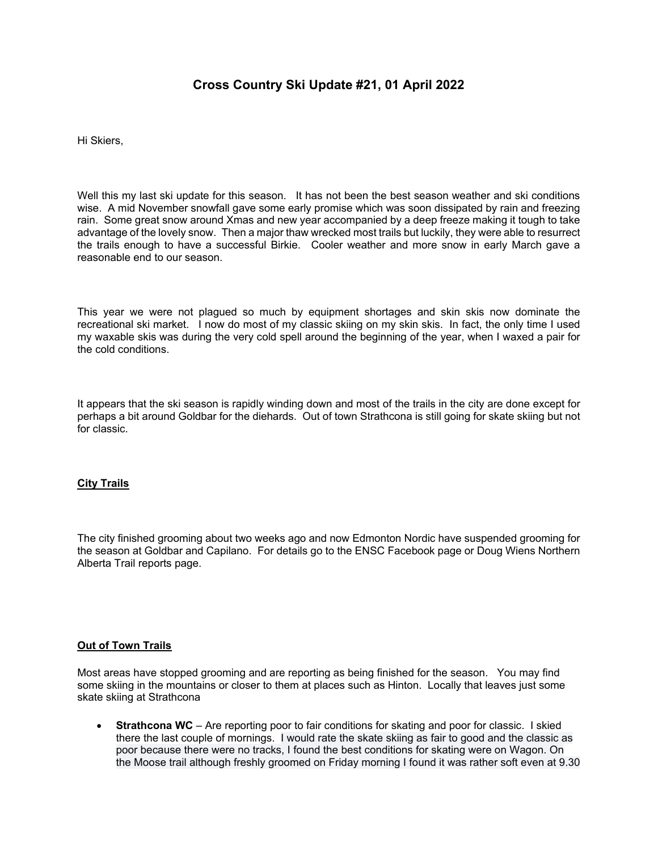# **Cross Country Ski Update #21, 01 April 2022**

Hi Skiers,

Well this my last ski update for this season. It has not been the best season weather and ski conditions wise. A mid November snowfall gave some early promise which was soon dissipated by rain and freezing rain. Some great snow around Xmas and new year accompanied by a deep freeze making it tough to take advantage of the lovely snow. Then a major thaw wrecked most trails but luckily, they were able to resurrect the trails enough to have a successful Birkie. Cooler weather and more snow in early March gave a reasonable end to our season.

This year we were not plagued so much by equipment shortages and skin skis now dominate the recreational ski market. I now do most of my classic skiing on my skin skis. In fact, the only time I used my waxable skis was during the very cold spell around the beginning of the year, when I waxed a pair for the cold conditions.

It appears that the ski season is rapidly winding down and most of the trails in the city are done except for perhaps a bit around Goldbar for the diehards. Out of town Strathcona is still going for skate skiing but not for classic.

# **City Trails**

The city finished grooming about two weeks ago and now Edmonton Nordic have suspended grooming for the season at Goldbar and Capilano. For details go to the ENSC Facebook page or Doug Wiens Northern Alberta Trail reports page.

# **Out of Town Trails**

Most areas have stopped grooming and are reporting as being finished for the season. You may find some skiing in the mountains or closer to them at places such as Hinton. Locally that leaves just some skate skiing at Strathcona

 **Strathcona WC** – Are reporting poor to fair conditions for skating and poor for classic. I skied there the last couple of mornings. I would rate the skate skiing as fair to good and the classic as poor because there were no tracks, I found the best conditions for skating were on Wagon. On the Moose trail although freshly groomed on Friday morning I found it was rather soft even at 9.30